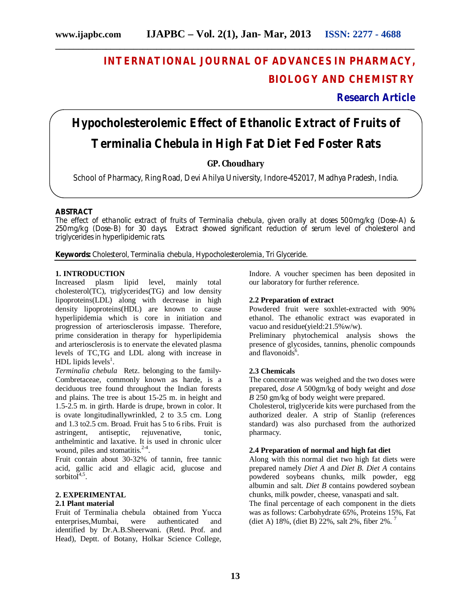**\_\_\_\_\_\_\_\_\_\_\_\_\_\_\_\_\_\_\_\_\_\_\_\_\_\_\_\_\_\_\_\_\_\_\_\_\_\_\_\_\_\_\_\_\_\_\_\_\_\_\_\_\_\_\_\_\_\_\_\_\_\_\_\_\_\_\_\_\_\_\_\_\_\_\_\_\_\_**

# **INTERNATIONAL JOURNAL OF ADVANCES IN PHARMACY, BIOLOGY AND CHEMISTRY**

**Research Article**

# **Hypocholesterolemic Effect of Ethanolic Extract of Fruits of**  *Terminalia Chebula* **in High Fat Diet Fed Foster Rats**

## **GP. Choudhary**

School of Pharmacy, Ring Road, Devi Ahilya University, Indore-452017, Madhya Pradesh, India.

#### **ABSTRACT**

The effect of ethanolic extract of fruits of *Terminalia chebula*, given orally at doses 500mg/kg (Dose-A) & 250mg/kg (Dose-B) for 30 days. Extract showed significant reduction of serum level of cholesterol and triglycerides in hyperlipidemic rats.

**Keywords:** Cholesterol, *Terminalia chebula,* Hypocholesterolemia, Tri Glyceride*.*

#### **1. INTRODUCTION**

Increased plasm lipid level, mainly total cholesterol(TC), triglycerides(TG) and low density lipoproteins(LDL) along with decrease in high density lipoproteins(HDL) are known to cause hyperlipidemia which is core in initiation and progression of arteriosclerosis impasse. Therefore, prime consideration in therapy for hyperlipidemia and arteriosclerosis is to enervate the elevated plasma levels of TC,TG and LDL along with increase in  $HDL$  lipids levels<sup>1</sup>.

*Terminalia chebula* Retz. belonging to the family-Combretaceae, commonly known as harde, is a deciduous tree found throughout the Indian forests and plains. The tree is about 15-25 m. in height and 1.5-2.5 m. in girth. Harde is drupe, brown in color. It is ovate longitudinallywrinkled, 2 to 3.5 cm. Long and 1.3 to2.5 cm. Broad. Fruit has 5 to 6 ribs. Fruit is astringent, antiseptic, rejuvenative, tonic, anthelmintic and laxative. It is used in chronic ulcer wound, piles and stomatitis. $2-4$ .

Fruit contain about 30-32% of tannin, free tannic acid, gallic acid and ellagic acid, glucose and sorbitol $4,5$ .

### **2. EXPERIMENTAL**

#### **2.1 Plant material**

Fruit of Terminalia chebula obtained from Yucca enterprises,Mumbai, were authenticated and identified by Dr.A.B.Sheerwani. (Retd. Prof. and Head), Deptt. of Botany, Holkar Science College,

Indore. A voucher specimen has been deposited in our laboratory for further reference.

#### **2.2 Preparation of extract**

Powdered fruit were soxhlet-extracted with 90% ethanol. The ethanolic extract was evaporated in vacuo and residue(yield:21.5%w/w).

Preliminary phytochemical analysis shows the presence of glycosides, tannins, phenolic compounds and flavonoids $6$ .

#### **2.3 Chemicals**

The concentrate was weighed and the two doses were prepared, *dose A* 500gm/kg of body weight and *dose B* 250 gm/kg of body weight were prepared.

Cholesterol, triglyceride kits were purchased from the authorized dealer. A strip of Stanlip (references standard) was also purchased from the authorized pharmacy.

#### **2.4 Preparation of normal and high fat diet**

Along with this normal diet two high fat diets were prepared namely *Diet A* and *Diet B*. *Diet A* contains powdered soybeans chunks, milk powder, egg albumin and salt. *Diet B* contains powdered soybean chunks, milk powder, cheese, vanaspati and salt. The final percentage of each component in the diets was as follows: Carbohydrate 65%, Proteins 15%, Fat (diet A) 18%, (diet B) 22%, salt 2%, fiber 2%.<sup>7</sup>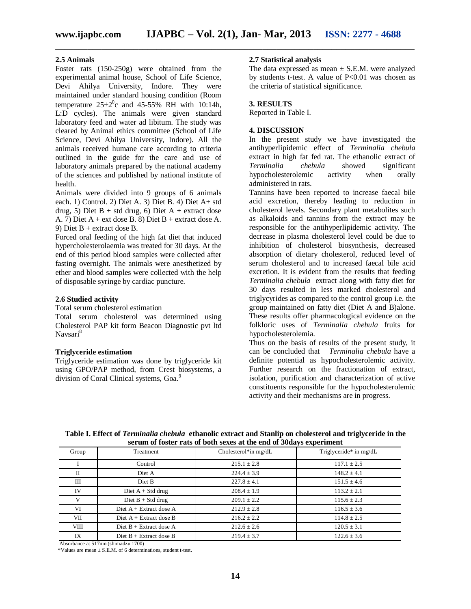**\_\_\_\_\_\_\_\_\_\_\_\_\_\_\_\_\_\_\_\_\_\_\_\_\_\_\_\_\_\_\_\_\_\_\_\_\_\_\_\_\_\_\_\_\_\_\_\_\_\_\_\_\_\_\_\_\_\_\_\_\_\_\_\_\_\_\_\_\_\_\_\_\_\_\_\_\_\_**

#### **2.5 Animals**

Foster rats (150-250g) were obtained from the experimental animal house, School of Life Science, Devi Ahilya University, Indore. They were maintained under standard housing condition (Room temperature  $25\pm2\degree$ c and 45-55% RH with 10:14h, L:D cycles). The animals were given standard laboratory feed and water ad libitum. The study was cleared by Animal ethics committee (School of Life Science, Devi Ahilya University, Indore). All the animals received humane care according to criteria outlined in the guide for the care and use of laboratory animals prepared by the national academy of the sciences and published by national institute of health.

Animals were divided into 9 groups of 6 animals each. 1) Control. 2) Diet A. 3) Diet B. 4) Diet A+ std drug, 5) Diet B + std drug, 6) Diet A + extract dose A. 7) Diet A + ext dose B. 8) Diet B + extract dose A. 9) Diet B + extract dose B.

Forced oral feeding of the high fat diet that induced hypercholesterolaemia was treated for 30 days. At the end of this period blood samples were collected after fasting overnight. The animals were anesthetized by ether and blood samples were collected with the help of disposable syringe by cardiac puncture.

#### **2.6 Studied activity**

Total serum cholesterol estimation

Total serum cholesterol was determined using Cholesterol PAP kit form Beacon Diagnostic pvt ltd Navsari<sup>8</sup>

#### **Triglyceride estimation**

Triglyceride estimation was done by triglyceride kit using GPO/PAP method, from Crest biosystems, a division of Coral Clinical systems, Goa.<sup>9</sup>

#### **2.7 Statistical analysis**

The data expressed as mean  $\pm$  S.E.M. were analyzed by students t-test. A value of  $P<0.01$  was chosen as the criteria of statistical significance.

#### **3. RESULTS**

Reported in Table I.

#### **4. DISCUSSION**

In the present study we have investigated the antihyperlipidemic effect of *Terminalia chebula* extract in high fat fed rat. The ethanolic extract of *Terminalia chebula* showed significant hypocholesterolemic activity when orally administered in rats.

Tannins have been reported to increase faecal bile acid excretion, thereby leading to reduction in cholesterol levels. Secondary plant metabolites such as alkaloids and tannins from the extract may be responsible for the antihyperlipidemic activity. The decrease in plasma cholesterol level could be due to inhibition of cholesterol biosynthesis, decreased absorption of dietary cholesterol, reduced level of serum cholesterol and to increased faecal bile acid excretion. It is evident from the results that feeding *Terminalia chebula* extract along with fatty diet for 30 days resulted in less marked cholesterol and triglycyrides as compared to the control group i.e. the group maintained on fatty diet (Diet A and B)alone. These results offer pharmacological evidence on the folkloric uses of *Terminalia chebula* fruits for hypocholesterolemia.

Thus on the basis of results of the present study, it can be concluded that *Terminalia chebula* have a definite potential as hypocholesterolemic activity. Further research on the fractionation of extract, isolation, purification and characterization of active constituents responsible for the hypocholesterolemic activity and their mechanisms are in progress.

| Group       | <b>Treatment</b>          | Cholesterol*in mg/dL | Triglyceride* in mg/dL |
|-------------|---------------------------|----------------------|------------------------|
|             | Control                   | $215.1 \pm 2.8$      | $117.1 \pm 2.5$        |
| П           | Diet A                    | $224.4 \pm 3.9$      | $148.2 \pm 4.1$        |
| Ш           | Diet B                    | $227.8 \pm 4.1$      | $151.5 \pm 4.6$        |
| IV          | Diet $A + Std$ drug       | $208.4 \pm 1.9$      | $113.2 + 2.1$          |
| V           | Diet $B + Std$ drug       | $209.1 \pm 2.2$      | $115.6 \pm 2.3$        |
| VI          | Diet $A + Extract$ dose A | $212.9 \pm 2.8$      | $116.5 \pm 3.6$        |
| VII         | Diet $A + Extract$ dose B | $216.2 \pm 2.2$      | $114.8 \pm 2.5$        |
| <b>VIII</b> | Diet $B + Extract$ dose A | $212.6 \pm 2.6$      | $120.5 \pm 3.1$        |
| IX          | Diet $B +$ Extract dose B | $219.4 + 3.7$        | $122.6 \pm 3.6$        |

**Table I. Effect of** *Terminalia chebula* **ethanolic extract and Stanlip on cholesterol and triglyceride in the serum of foster rats of both sexes at the end of 30days experiment**

Absorbance at 517nm (shimadzu 1700)

\*Values are mean  $\pm$  S.E.M. of 6 determinations, student t-test.